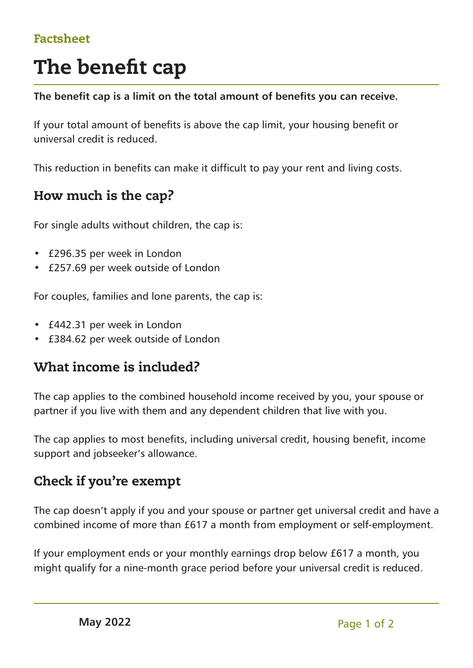## Factsheet

# The benefit cap

**The benefit cap is a limit on the total amount of benefits you can receive.**

If your total amount of benefits is above the cap limit, your housing benefit or universal credit is reduced.

This reduction in benefits can make it difficult to pay your rent and living costs.

## How much is the cap?

For single adults without children, the cap is:

- £296.35 per week in London
- £257.69 per week outside of London

For couples, families and lone parents, the cap is:

- £442.31 per week in London
- £384.62 per week outside of London

# What income is included?

The cap applies to the combined household income received by you, your spouse or partner if you live with them and any dependent children that live with you.

The cap applies to most benefits, including universal credit, housing benefit, income support and jobseeker's allowance.

## Check if you're exempt

The cap doesn't apply if you and your spouse or partner get universal credit and have a combined income of more than £617 a month from employment or self-employment.

If your employment ends or your monthly earnings drop below £617 a month, you might qualify for a nine-month grace period before your universal credit is reduced.